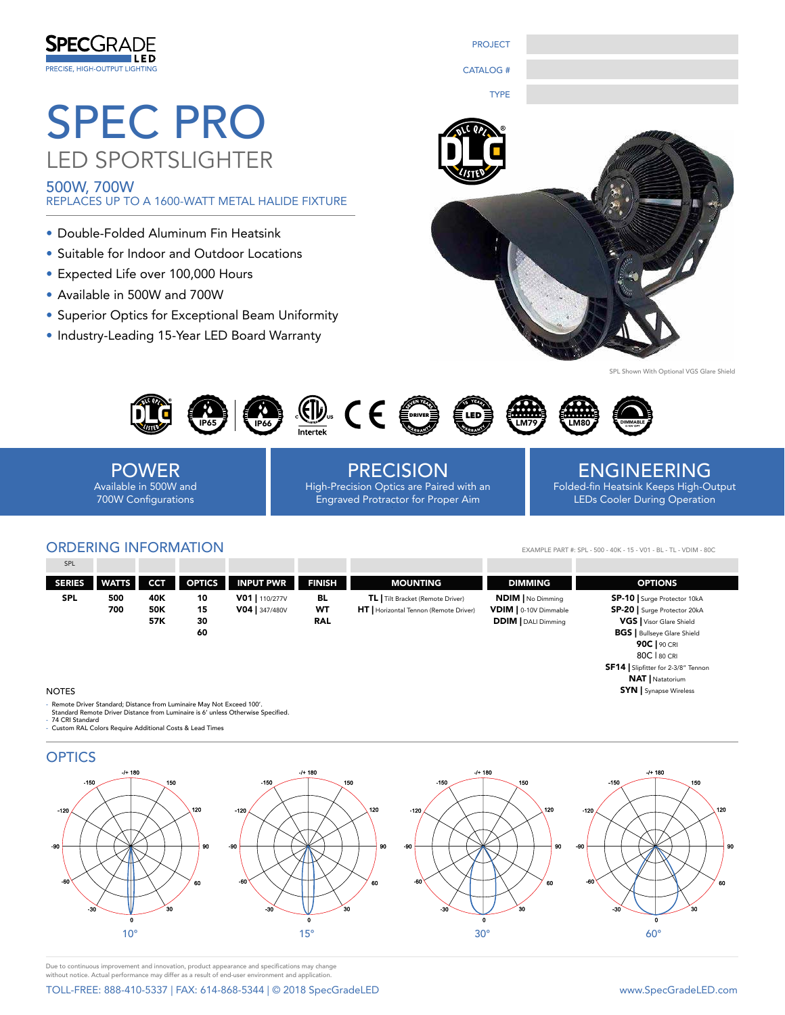

# SPEC PRO LED SPORTSLIGHTER

500W, 700W REPLACES UP TO A 1600-WATT METAL HALIDE FIXTURE

- Double-Folded Aluminum Fin Heatsink
- Suitable for Indoor and Outdoor Locations
- Expected Life over 100,000 Hours
- Available in 500W and 700W
- Superior Optics for Exceptional Beam Uniformity
- Industry-Leading 15-Year LED Board Warranty



PROJECT

CATALOG #

With Optional VGS Glare Shield



POWER Available in 500W and 700W Configurations

PRECISION High-Precision Optics are Paired with an Engraved Protractor for Proper Aim

## ENGINEERING

Folded-fin Heatsink Keeps High-Output LEDs Cooler During Operation

> 80C | 80 CRI SF14 | Slipfitter for 2-3/8" Tennon NAT | Natatorium SYN | Synapse Wireless

### ORDERING INFORMATION

EXAMPLE PART #: SPL - 500 - 40K - 15 - V01 - BL - TL - VDIM - 80C

| SPL           |              |            |               |                  |               |                                               |                            |                                    |
|---------------|--------------|------------|---------------|------------------|---------------|-----------------------------------------------|----------------------------|------------------------------------|
| <b>SERIES</b> | <b>WATTS</b> | <b>CCT</b> | <b>OPTICS</b> | <b>INPUT PWR</b> | <b>FINISH</b> | <b>MOUNTING</b>                               | <b>DIMMING</b>             | <b>OPTIONS</b>                     |
| <b>SPL</b>    | 500          | 40K        | 10            | V01   110/277V   | BL            | TL Tilt Bracket (Remote Driver)               | <b>NDIM</b> No Dimming     | <b>SP-10</b> Surge Protector 10kA  |
|               | 700          | 50K        | 15            | V04   347/480V   | WT            | <b>HT</b>   Horizontal Tennon (Remote Driver) | VDIM   0-10V Dimmable      | SP-20   Surge Protector 20kA       |
|               |              | 57K        | 30            |                  | <b>RAL</b>    |                                               | <b>DDIM</b>   DALI Dimming | <b>VGS</b>   Visor Glare Shield    |
|               |              |            | 60            |                  |               |                                               |                            | <b>BGS</b>   Bullseye Glare Shield |
|               |              |            |               |                  |               |                                               |                            | 90C   90 CRI                       |

#### **NOTES**

Remote Driver Standard; Distance from Luminaire May Not Exceed 100'.

Standard Remote Driver Distance from Luminaire is 6' unless Otherwise Specified. - 74 CRI Standard - Custom RAL Colors Require Additional Costs & Lead Times



Due to continuous improvement and innovation, product appearance and specifications may change without notice. Actual performance may differ as a result of end-user environment and application.